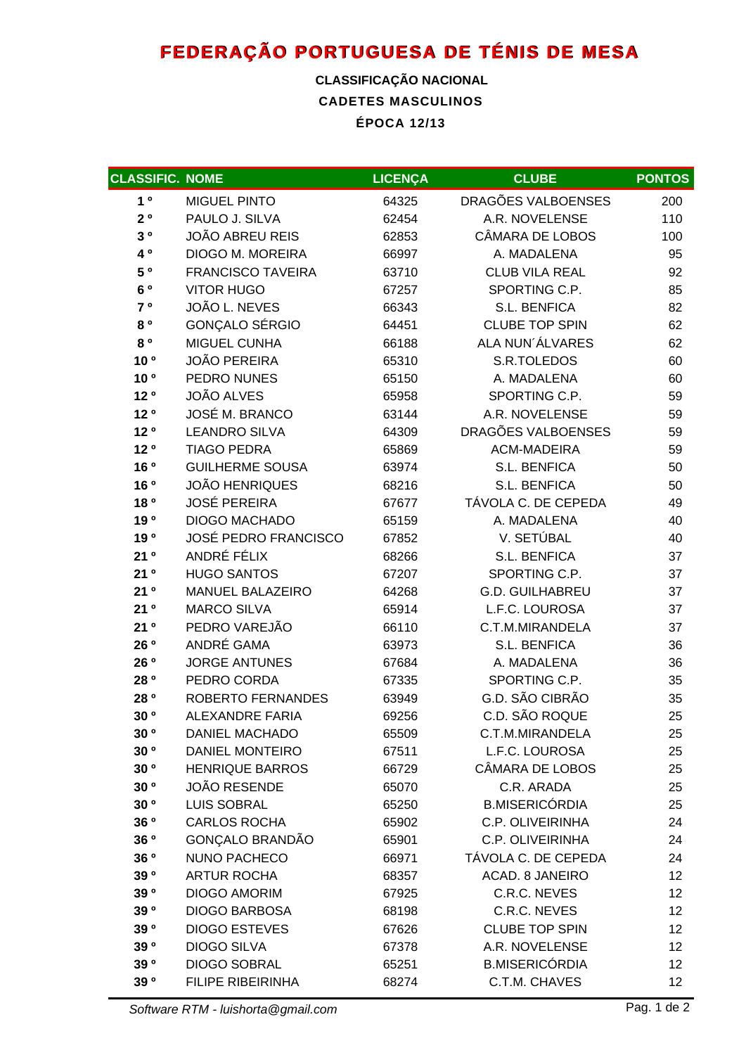## **FEDERAÇÃO PORTUGUESA DE TÉNIS DE MESA**

## **CADETES MASCULINOS ÉPOCA 12/13 CLASSIFICAÇÃO NACIONAL**

| <b>CLASSIFIC. NOME</b> |                             | <b>LICENÇA</b> | <b>CLUBE</b>           | <b>PONTOS</b>   |
|------------------------|-----------------------------|----------------|------------------------|-----------------|
| 1 <sup>0</sup>         | <b>MIGUEL PINTO</b>         | 64325          | DRAGÕES VALBOENSES     | 200             |
| $2^o$                  | PAULO J. SILVA              | 62454          | A.R. NOVELENSE         | 110             |
| $3^o$                  | <b>JOÃO ABREU REIS</b>      | 62853          | CÂMARA DE LOBOS        | 100             |
| 40                     | <b>DIOGO M. MOREIRA</b>     | 66997          | A. MADALENA            | 95              |
| 5 °                    | <b>FRANCISCO TAVEIRA</b>    | 63710          | <b>CLUB VILA REAL</b>  | 92              |
| 6 °                    | <b>VITOR HUGO</b>           | 67257          | SPORTING C.P.          | 85              |
| 7°                     | JOÃO L. NEVES               | 66343          | S.L. BENFICA           | 82              |
| 80                     | <b>GONÇALO SÉRGIO</b>       | 64451          | <b>CLUBE TOP SPIN</b>  | 62              |
| 80                     | MIGUEL CUNHA                | 66188          | ALA NUN'ÁLVARES        | 62              |
| 10 <sup>o</sup>        | <b>JOÃO PEREIRA</b>         | 65310          | S.R.TOLEDOS            | 60              |
| 10 <sup>o</sup>        | PEDRO NUNES                 | 65150          | A. MADALENA            | 60              |
| 12 <sup>o</sup>        | <b>JOÃO ALVES</b>           | 65958          | SPORTING C.P.          | 59              |
| 12 <sup>o</sup>        | <b>JOSÉ M. BRANCO</b>       | 63144          | A.R. NOVELENSE         | 59              |
| 12 <sup>o</sup>        | <b>LEANDRO SILVA</b>        | 64309          | DRAGÕES VALBOENSES     | 59              |
| 12 <sup>0</sup>        | <b>TIAGO PEDRA</b>          | 65869          | <b>ACM-MADEIRA</b>     | 59              |
| 16 <sup>o</sup>        | <b>GUILHERME SOUSA</b>      | 63974          | S.L. BENFICA           | 50              |
| 16 <sup>o</sup>        | <b>JOÃO HENRIQUES</b>       | 68216          | S.L. BENFICA           | 50              |
| 18 <sup>o</sup>        | <b>JOSÉ PEREIRA</b>         | 67677          | TÁVOLA C. DE CEPEDA    | 49              |
| 19 <sup>o</sup>        | <b>DIOGO MACHADO</b>        | 65159          | A. MADALENA            | 40              |
| 190                    | <b>JOSÉ PEDRO FRANCISCO</b> | 67852          | V. SETÚBAL             | 40              |
| 21°                    | ANDRÉ FÉLIX                 | 68266          | S.L. BENFICA           | 37              |
| 21°                    | <b>HUGO SANTOS</b>          | 67207          | SPORTING C.P.          | 37              |
| 21°                    | <b>MANUEL BALAZEIRO</b>     | 64268          | <b>G.D. GUILHABREU</b> | 37              |
| 21°                    | <b>MARCO SILVA</b>          | 65914          | L.F.C. LOUROSA         | 37              |
| 21°                    | PEDRO VAREJÃO               | 66110          | C.T.M.MIRANDELA        | 37              |
| 26 <sup>o</sup>        | ANDRÉ GAMA                  | 63973          | S.L. BENFICA           | 36              |
| 26 <sup>o</sup>        | <b>JORGE ANTUNES</b>        | 67684          | A. MADALENA            | 36              |
| 28 <sup>o</sup>        | PEDRO CORDA                 | 67335          | SPORTING C.P.          | 35              |
| 28 <sup>o</sup>        | <b>ROBERTO FERNANDES</b>    | 63949          | G.D. SÃO CIBRÃO        | 35              |
| 30 <sup>o</sup>        | <b>ALEXANDRE FARIA</b>      | 69256          | C.D. SÃO ROQUE         | 25              |
| $30^o$                 | DANIEL MACHADO              | 65509          | C.T.M.MIRANDELA        | 25              |
| 30 <sup>o</sup>        | <b>DANIEL MONTEIRO</b>      | 67511          | L.F.C. LOUROSA         | 25              |
| 30 <sup>o</sup>        | <b>HENRIQUE BARROS</b>      | 66729          | CÂMARA DE LOBOS        | 25              |
| 30 <sup>o</sup>        | <b>JOÃO RESENDE</b>         | 65070          | C.R. ARADA             | 25              |
| 30 <sup>o</sup>        | <b>LUIS SOBRAL</b>          | 65250          | <b>B.MISERICÓRDIA</b>  | 25              |
| 36 <sup>o</sup>        | <b>CARLOS ROCHA</b>         | 65902          | C.P. OLIVEIRINHA       | 24              |
| 36 <sup>o</sup>        | <b>GONÇALO BRANDÃO</b>      | 65901          | C.P. OLIVEIRINHA       | 24              |
| 36 <sup>o</sup>        | <b>NUNO PACHECO</b>         | 66971          | TÁVOLA C. DE CEPEDA    | 24              |
| 39 <sup>o</sup>        | <b>ARTUR ROCHA</b>          | 68357          | ACAD. 8 JANEIRO        | 12              |
| 39 <sup>o</sup>        | <b>DIOGO AMORIM</b>         | 67925          | C.R.C. NEVES           | 12              |
| 39 <sup>o</sup>        | <b>DIOGO BARBOSA</b>        | 68198          | C.R.C. NEVES           | 12 <sub>2</sub> |
| 39 <sup>o</sup>        | <b>DIOGO ESTEVES</b>        | 67626          | <b>CLUBE TOP SPIN</b>  | 12              |
| 39 <sup>o</sup>        | <b>DIOGO SILVA</b>          | 67378          | A.R. NOVELENSE         | 12              |
| 39 <sup>o</sup>        | <b>DIOGO SOBRAL</b>         | 65251          | <b>B.MISERICÓRDIA</b>  | 12              |
| 39 <sup>o</sup>        | <b>FILIPE RIBEIRINHA</b>    | 68274          | C.T.M. CHAVES          | 12 <sub>2</sub> |